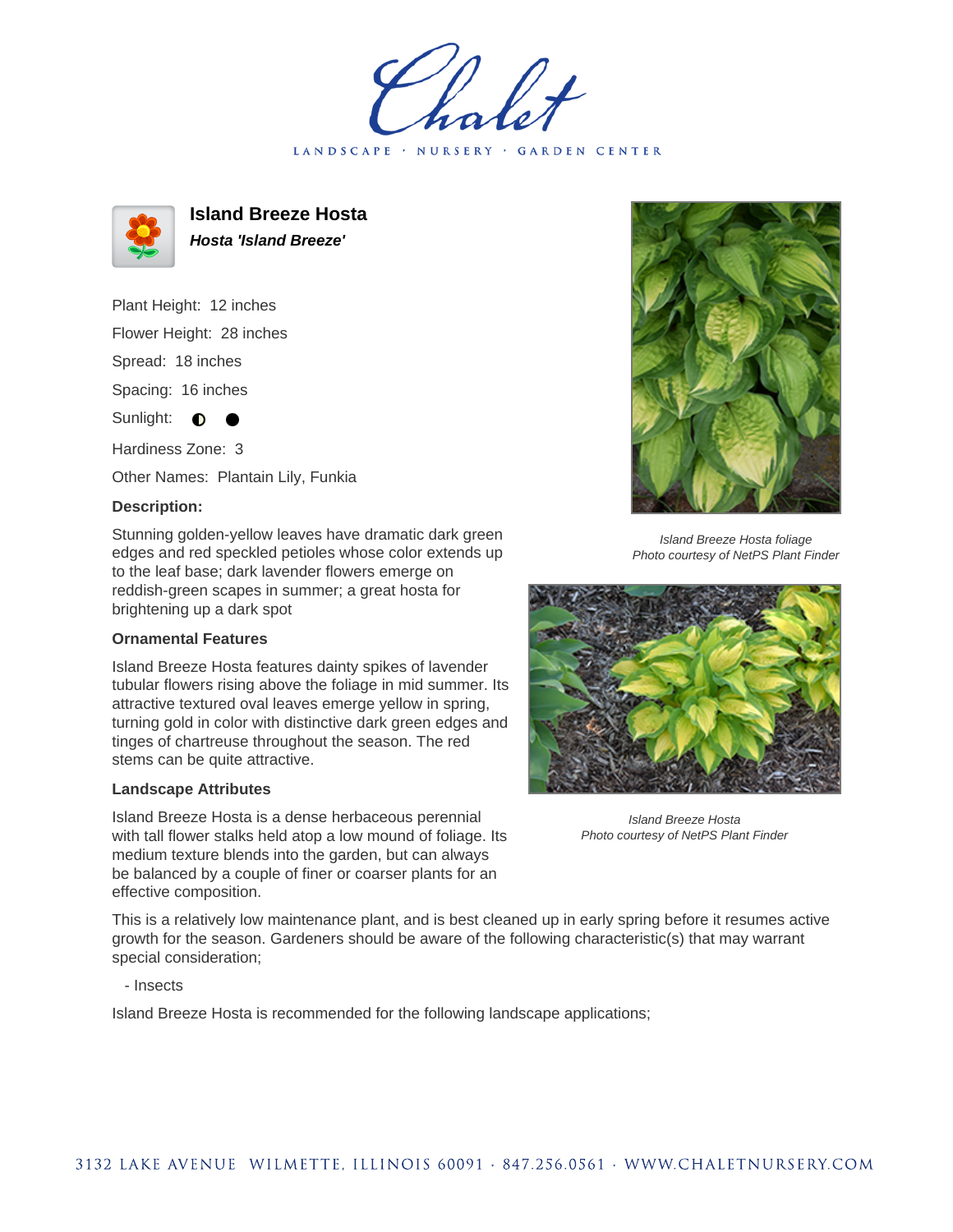LANDSCAPE · NURSERY · GARDEN CENTER



**Island Breeze Hosta Hosta 'Island Breeze'**

Plant Height: 12 inches Flower Height: 28 inches Spread: 18 inches Spacing: 16 inches Sunlight:  $\bullet$ Hardiness Zone: 3

Other Names: Plantain Lily, Funkia

## **Description:**

Stunning golden-yellow leaves have dramatic dark green edges and red speckled petioles whose color extends up to the leaf base; dark lavender flowers emerge on reddish-green scapes in summer; a great hosta for brightening up a dark spot

## **Ornamental Features**

Island Breeze Hosta features dainty spikes of lavender tubular flowers rising above the foliage in mid summer. Its attractive textured oval leaves emerge yellow in spring, turning gold in color with distinctive dark green edges and tinges of chartreuse throughout the season. The red stems can be quite attractive.

## **Landscape Attributes**

Island Breeze Hosta is a dense herbaceous perennial with tall flower stalks held atop a low mound of foliage. Its medium texture blends into the garden, but can always be balanced by a couple of finer or coarser plants for an effective composition.



Island Breeze Hosta foliage Photo courtesy of NetPS Plant Finder



Island Breeze Hosta Photo courtesy of NetPS Plant Finder

This is a relatively low maintenance plant, and is best cleaned up in early spring before it resumes active growth for the season. Gardeners should be aware of the following characteristic(s) that may warrant special consideration;

- Insects

Island Breeze Hosta is recommended for the following landscape applications;